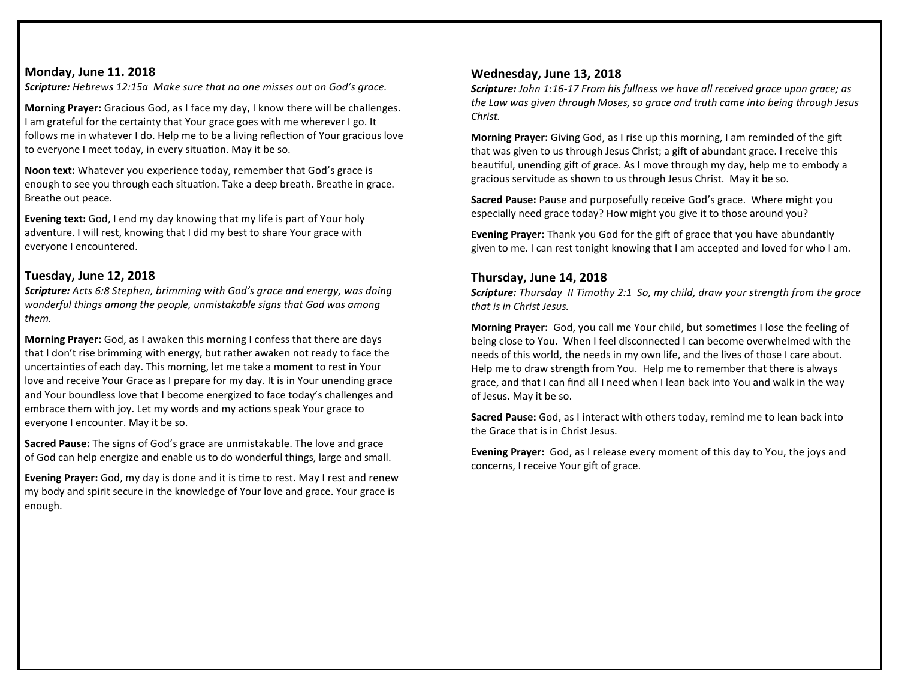#### **Monday, June 11. 2018**

*Scripture: Hebrews 12:15a Make sure that no one misses out on God's grace.*

**Morning Prayer:** Gracious God, as I face my day, I know there will be challenges. I am grateful for the certainty that Your grace goes with me wherever I go. It follows me in whatever I do. Help me to be a living reflection of Your gracious love to everyone I meet today, in every situation. May it be so.

**Noon text:** Whatever you experience today, remember that God's grace is enough to see you through each situation. Take a deep breath. Breathe in grace. Breathe out peace.

**Evening text:** God, I end my day knowing that my life is part of Your holy adventure. I will rest, knowing that I did my best to share Your grace with everyone I encountered.

### **Tuesday, June 12, 2018**

*Scripture: Acts 6:8 Stephen, brimming with God's grace and energy, was doing wonderful things among the people, unmistakable signs that God was among them.*

**Morning Prayer:** God, as I awaken this morning I confess that there are days that I don't rise brimming with energy, but rather awaken not ready to face the uncertainties of each day. This morning, let me take a moment to rest in Your love and receive Your Grace as I prepare for my day. It is in Your unending grace and Your boundless love that I become energized to face today's challenges and embrace them with joy. Let my words and my actions speak Your grace to everyone I encounter. May it be so.

**Sacred Pause:** The signs of God's grace are unmistakable. The love and grace of God can help energize and enable us to do wonderful things, large and small.

**Evening Prayer:** God, my day is done and it is time to rest. May I rest and renew my body and spirit secure in the knowledge of Your love and grace. Your grace is enough.

#### **Wednesday, June 13, 2018**

*Scripture: John 1:16-17 From his fullness we have all received grace upon grace; as the Law was given through Moses, so grace and truth came into being through Jesus Christ.* 

**Morning Prayer:** Giving God, as I rise up this morning, I am reminded of the gift that was given to us through Jesus Christ; a gift of abundant grace. I receive this beautiful, unending gift of grace. As I move through my day, help me to embody a gracious servitude as shown to us through Jesus Christ. May it be so.

**Sacred Pause:** Pause and purposefully receive God's grace. Where might you especially need grace today? How might you give it to those around you?

**Evening Prayer:** Thank you God for the gift of grace that you have abundantly given to me. I can rest tonight knowing that I am accepted and loved for who I am.

#### **Thursday, June 14, 2018**

*Scripture: Thursday II Timothy 2:1 So, my child, draw your strength from the grace that is in Christ Jesus.*

**Morning Prayer:** God, you call me Your child, but sometimes I lose the feeling of being close to You. When I feel disconnected I can become overwhelmed with the needs of this world, the needs in my own life, and the lives of those I care about. Help me to draw strength from You. Help me to remember that there is always grace, and that I can find all I need when I lean back into You and walk in the way of Jesus. May it be so.

**Sacred Pause:** God, as I interact with others today, remind me to lean back into the Grace that is in Christ Jesus.

**Evening Prayer:** God, as I release every moment of this day to You, the joys and concerns, I receive Your gift of grace.